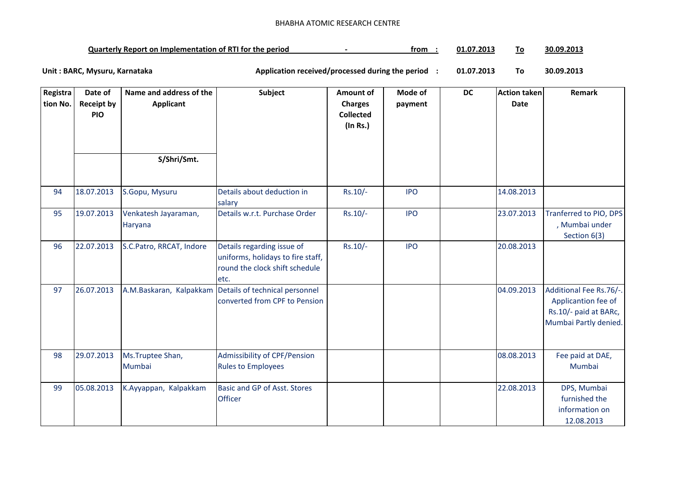## BHABHA ATOMIC RESEARCH CENTRE

| <b>Quarterly Report on Implementation of RTI for the period</b> | trom | 01.07<br>201: / |  | 30.09.2013 |
|-----------------------------------------------------------------|------|-----------------|--|------------|
|-----------------------------------------------------------------|------|-----------------|--|------------|

**01.07.2013 To 30.09.2013** Unit : BARC, Mysuru, Karnataka **Alexander State and Application received/processed during the period** :

| Registra<br>tion No. | Date of<br><b>Receipt by</b> | Name and address of the<br><b>Applicant</b> | Subject                                                             | <b>Amount of</b><br><b>Charges</b> | Mode of<br>payment | <b>DC</b> | <b>Action taken</b><br>Date | Remark                                         |
|----------------------|------------------------------|---------------------------------------------|---------------------------------------------------------------------|------------------------------------|--------------------|-----------|-----------------------------|------------------------------------------------|
|                      | <b>PIO</b>                   |                                             |                                                                     | <b>Collected</b>                   |                    |           |                             |                                                |
|                      |                              |                                             |                                                                     | (In Rs.)                           |                    |           |                             |                                                |
|                      |                              |                                             |                                                                     |                                    |                    |           |                             |                                                |
|                      |                              | S/Shri/Smt.                                 |                                                                     |                                    |                    |           |                             |                                                |
|                      |                              |                                             |                                                                     |                                    |                    |           |                             |                                                |
| 94                   | 18.07.2013                   | S.Gopu, Mysuru                              | Details about deduction in<br>salary                                | $Rs.10/-$                          | <b>IPO</b>         |           | 14.08.2013                  |                                                |
| 95                   | 19.07.2013                   | Venkatesh Jayaraman,                        | Details w.r.t. Purchase Order                                       | Rs.10/-                            | <b>IPO</b>         |           | 23.07.2013                  | Tranferred to PIO, DPS                         |
|                      |                              | Haryana                                     |                                                                     |                                    |                    |           |                             | , Mumbai under<br>Section 6(3)                 |
| 96                   | 22.07.2013                   | S.C.Patro, RRCAT, Indore                    | Details regarding issue of                                          | Rs.10/-                            | <b>IPO</b>         |           | 20.08.2013                  |                                                |
|                      |                              |                                             | uniforms, holidays to fire staff,<br>round the clock shift schedule |                                    |                    |           |                             |                                                |
|                      |                              |                                             | etc.                                                                |                                    |                    |           |                             |                                                |
| 97                   | 26.07.2013                   |                                             | A.M.Baskaran, Kalpakkam Details of technical personnel              |                                    |                    |           | 04.09.2013                  | Additional Fee Rs.76/-.                        |
|                      |                              |                                             | converted from CPF to Pension                                       |                                    |                    |           |                             | Applicantion fee of                            |
|                      |                              |                                             |                                                                     |                                    |                    |           |                             | Rs.10/- paid at BARc,<br>Mumbai Partly denied. |
|                      |                              |                                             |                                                                     |                                    |                    |           |                             |                                                |
| 98                   | 29.07.2013                   | Ms.Truptee Shan,                            | Admissibility of CPF/Pension                                        |                                    |                    |           | 08.08.2013                  | Fee paid at DAE,                               |
|                      |                              | Mumbai                                      | <b>Rules to Employees</b>                                           |                                    |                    |           |                             | Mumbai                                         |
| 99                   | 05.08.2013                   | K.Ayyappan, Kalpakkam                       | Basic and GP of Asst. Stores                                        |                                    |                    |           | 22.08.2013                  | DPS, Mumbai                                    |
|                      |                              |                                             | <b>Officer</b>                                                      |                                    |                    |           |                             | furnished the                                  |
|                      |                              |                                             |                                                                     |                                    |                    |           |                             | information on<br>12.08.2013                   |
|                      |                              |                                             |                                                                     |                                    |                    |           |                             |                                                |